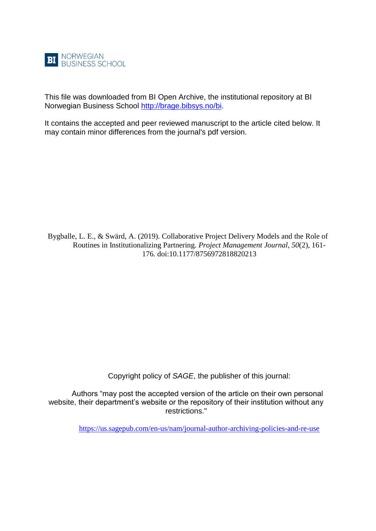

This file was downloaded from BI Open Archive, the institutional repository at BI Norwegian Business School [http://brage.bibsys.no/bi.](http://brage.bibsys.no/bi)

It contains the accepted and peer reviewed manuscript to the article cited below. It may contain minor differences from the journal's pdf version.

Bygballe, L. E., & Swärd, A. (2019). Collaborative Project Delivery Models and the Role of Routines in Institutionalizing Partnering. *Project Management Journal, 50*(2), 161- 176. doi:10.1177/8756972818820213

Copyright policy of *SAGE*, the publisher of this journal:

Authors "may post the accepted version of the article on their own personal website, their department's website or the repository of their institution without any restrictions."

<https://us.sagepub.com/en-us/nam/journal-author-archiving-policies-and-re-use>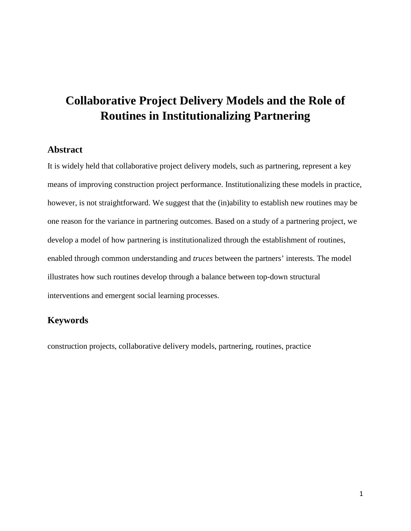# **Collaborative Project Delivery Models and the Role of Routines in Institutionalizing Partnering**

# **Abstract**

It is widely held that collaborative project delivery models, such as partnering, represent a key means of improving construction project performance. Institutionalizing these models in practice, however, is not straightforward. We suggest that the (in)ability to establish new routines may be one reason for the variance in partnering outcomes. Based on a study of a partnering project, we develop a model of how partnering is institutionalized through the establishment of routines, enabled through common understanding and *truces* between the partners' interests. The model illustrates how such routines develop through a balance between top-down structural interventions and emergent social learning processes.

# **Keywords**

construction projects, collaborative delivery models, partnering, routines, practice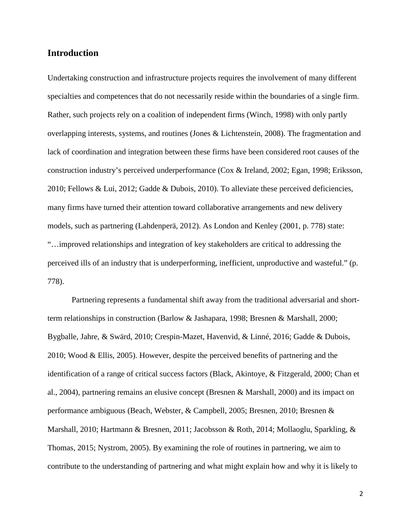# **Introduction**

Undertaking construction and infrastructure projects requires the involvement of many different specialties and competences that do not necessarily reside within the boundaries of a single firm. Rather, such projects rely on a coalition of independent firms (Winch, 1998) with only partly overlapping interests, systems, and routines (Jones & Lichtenstein, 2008). The fragmentation and lack of coordination and integration between these firms have been considered root causes of the construction industry's perceived underperformance (Cox & Ireland, 2002; Egan, 1998; Eriksson, 2010; Fellows & Lui, 2012; Gadde & Dubois, 2010). To alleviate these perceived deficiencies, many firms have turned their attention toward collaborative arrangements and new delivery models, such as partnering (Lahdenperä, 2012). As London and Kenley (2001, p. 778) state: "…improved relationships and integration of key stakeholders are critical to addressing the perceived ills of an industry that is underperforming, inefficient, unproductive and wasteful." (p. 778).

Partnering represents a fundamental shift away from the traditional adversarial and shortterm relationships in construction (Barlow & Jashapara, 1998; Bresnen & Marshall, 2000; Bygballe, Jahre, & Swärd, 2010; Crespin-Mazet, Havenvid, & Linné, 2016; Gadde & Dubois, 2010; Wood & Ellis, 2005). However, despite the perceived benefits of partnering and the identification of a range of critical success factors (Black, Akintoye, & Fitzgerald, 2000; Chan et al., 2004), partnering remains an elusive concept (Bresnen & Marshall, 2000) and its impact on performance ambiguous (Beach, Webster, & Campbell, 2005; Bresnen, 2010; Bresnen & Marshall, 2010; Hartmann & Bresnen, 2011; Jacobsson & Roth, 2014; Mollaoglu, Sparkling, & Thomas, 2015; Nystrom, 2005). By examining the role of routines in partnering, we aim to contribute to the understanding of partnering and what might explain how and why it is likely to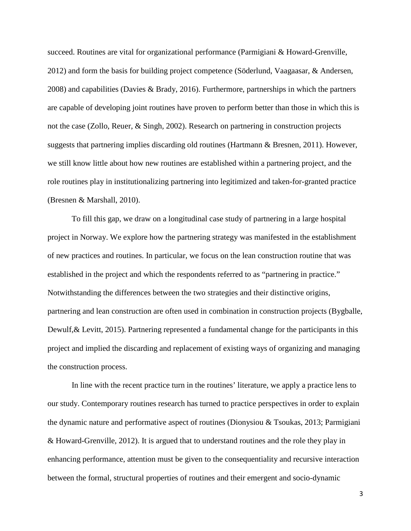succeed. Routines are vital for organizational performance (Parmigiani & Howard-Grenville, 2012) and form the basis for building project competence (Söderlund, Vaagaasar, & Andersen, 2008) and capabilities (Davies & Brady, 2016). Furthermore, partnerships in which the partners are capable of developing joint routines have proven to perform better than those in which this is not the case (Zollo, Reuer, & Singh*,* 2002). Research on partnering in construction projects suggests that partnering implies discarding old routines (Hartmann  $\&$  Bresnen, 2011). However, we still know little about how new routines are established within a partnering project, and the role routines play in institutionalizing partnering into legitimized and taken-for-granted practice (Bresnen & Marshall, 2010).

To fill this gap, we draw on a longitudinal case study of partnering in a large hospital project in Norway. We explore how the partnering strategy was manifested in the establishment of new practices and routines. In particular, we focus on the lean construction routine that was established in the project and which the respondents referred to as "partnering in practice." Notwithstanding the differences between the two strategies and their distinctive origins, partnering and lean construction are often used in combination in construction projects (Bygballe, Dewulf,& Levitt, 2015). Partnering represented a fundamental change for the participants in this project and implied the discarding and replacement of existing ways of organizing and managing the construction process.

In line with the recent practice turn in the routines' literature, we apply a practice lens to our study. Contemporary routines research has turned to practice perspectives in order to explain the dynamic nature and performative aspect of routines (Dionysiou & Tsoukas, 2013; Parmigiani & Howard-Grenville, 2012). It is argued that to understand routines and the role they play in enhancing performance, attention must be given to the consequentiality and recursive interaction between the formal, structural properties of routines and their emergent and socio-dynamic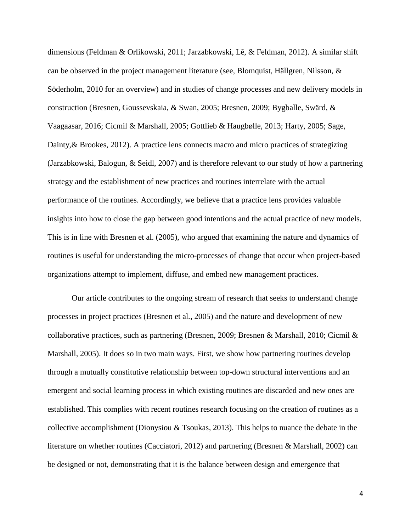dimensions (Feldman & Orlikowski, 2011; Jarzabkowski, Lê, & Feldman, 2012). A similar shift can be observed in the project management literature (see, Blomquist, Hällgren, Nilsson,  $\&$ Söderholm, 2010 for an overview) and in studies of change processes and new delivery models in construction (Bresnen, Goussevskaia, & Swan, 2005; Bresnen, 2009; Bygballe, Swärd, & Vaagaasar, 2016; Cicmil & Marshall, 2005; Gottlieb & Haugbølle, 2013; Harty, 2005; Sage, Dainty,& Brookes, 2012). A practice lens connects macro and micro practices of strategizing (Jarzabkowski, Balogun, & Seidl, 2007) and is therefore relevant to our study of how a partnering strategy and the establishment of new practices and routines interrelate with the actual performance of the routines. Accordingly, we believe that a practice lens provides valuable insights into how to close the gap between good intentions and the actual practice of new models. This is in line with Bresnen et al. (2005), who argued that examining the nature and dynamics of routines is useful for understanding the micro-processes of change that occur when project-based organizations attempt to implement, diffuse, and embed new management practices.

Our article contributes to the ongoing stream of research that seeks to understand change processes in project practices (Bresnen et al*.,* 2005) and the nature and development of new collaborative practices, such as partnering (Bresnen, 2009; Bresnen & Marshall, 2010; Cicmil & Marshall, 2005). It does so in two main ways. First, we show how partnering routines develop through a mutually constitutive relationship between top-down structural interventions and an emergent and social learning process in which existing routines are discarded and new ones are established. This complies with recent routines research focusing on the creation of routines as a collective accomplishment (Dionysiou & Tsoukas, 2013). This helps to nuance the debate in the literature on whether routines (Cacciatori, 2012) and partnering (Bresnen & Marshall, 2002) can be designed or not, demonstrating that it is the balance between design and emergence that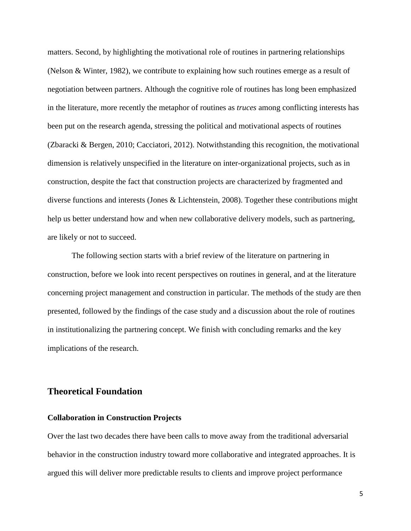matters. Second, by highlighting the motivational role of routines in partnering relationships (Nelson & Winter, 1982), we contribute to explaining how such routines emerge as a result of negotiation between partners. Although the cognitive role of routines has long been emphasized in the literature, more recently the metaphor of routines as *truces* among conflicting interests has been put on the research agenda, stressing the political and motivational aspects of routines (Zbaracki & Bergen, 2010; Cacciatori, 2012). Notwithstanding this recognition, the motivational dimension is relatively unspecified in the literature on inter-organizational projects, such as in construction, despite the fact that construction projects are characterized by fragmented and diverse functions and interests (Jones & Lichtenstein, 2008). Together these contributions might help us better understand how and when new collaborative delivery models, such as partnering, are likely or not to succeed.

The following section starts with a brief review of the literature on partnering in construction, before we look into recent perspectives on routines in general, and at the literature concerning project management and construction in particular. The methods of the study are then presented, followed by the findings of the case study and a discussion about the role of routines in institutionalizing the partnering concept. We finish with concluding remarks and the key implications of the research.

## **Theoretical Foundation**

#### **Collaboration in Construction Projects**

Over the last two decades there have been calls to move away from the traditional adversarial behavior in the construction industry toward more collaborative and integrated approaches. It is argued this will deliver more predictable results to clients and improve project performance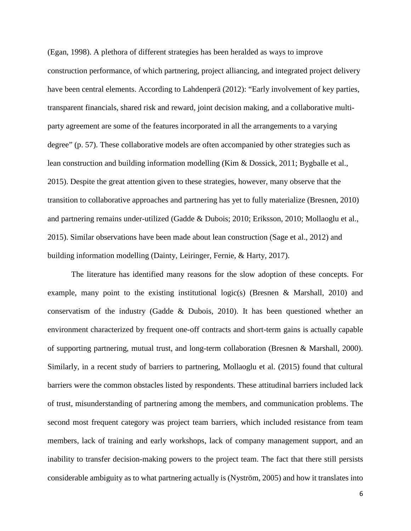(Egan, 1998). A plethora of different strategies has been heralded as ways to improve construction performance, of which partnering, project alliancing, and integrated project delivery have been central elements. According to Lahdenperä (2012): "Early involvement of key parties, transparent financials, shared risk and reward, joint decision making, and a collaborative multiparty agreement are some of the features incorporated in all the arrangements to a varying degree" (p. 57). These collaborative models are often accompanied by other strategies such as lean construction and building information modelling (Kim & Dossick, 2011; Bygballe et al.*,* 2015). Despite the great attention given to these strategies, however, many observe that the transition to collaborative approaches and partnering has yet to fully materialize (Bresnen, 2010) and partnering remains under-utilized (Gadde & Dubois; 2010; Eriksson, 2010; Mollaoglu et al., 2015). Similar observations have been made about lean construction (Sage et al., 2012) and building information modelling (Dainty, Leiringer, Fernie, & Harty, 2017).

The literature has identified many reasons for the slow adoption of these concepts. For example, many point to the existing institutional logic(s) (Bresnen & Marshall, 2010) and conservatism of the industry (Gadde & Dubois, 2010). It has been questioned whether an environment characterized by frequent one-off contracts and short-term gains is actually capable of supporting partnering, mutual trust, and long-term collaboration (Bresnen & Marshall, 2000). Similarly, in a recent study of barriers to partnering, Mollaoglu et al. (2015) found that cultural barriers were the common obstacles listed by respondents. These attitudinal barriers included lack of trust, misunderstanding of partnering among the members, and communication problems. The second most frequent category was project team barriers, which included resistance from team members, lack of training and early workshops, lack of company management support, and an inability to transfer decision-making powers to the project team. The fact that there still persists considerable ambiguity as to what partnering actually is (Nyström, 2005) and how it translates into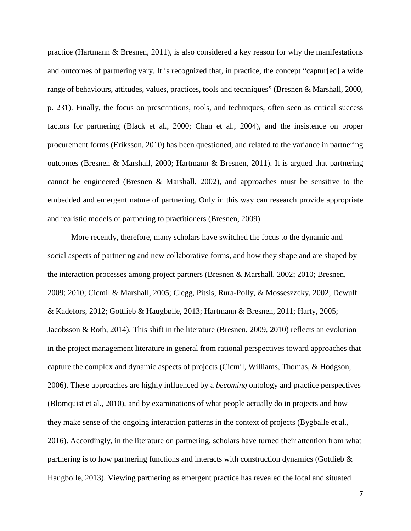practice (Hartmann & Bresnen, 2011), is also considered a key reason for why the manifestations and outcomes of partnering vary. It is recognized that, in practice, the concept "captur[ed] a wide range of behaviours, attitudes, values, practices, tools and techniques" (Bresnen & Marshall, 2000, p. 231). Finally, the focus on prescriptions, tools, and techniques, often seen as critical success factors for partnering (Black et al., 2000; Chan et al., 2004), and the insistence on proper procurement forms (Eriksson, 2010) has been questioned, and related to the variance in partnering outcomes (Bresnen & Marshall, 2000; Hartmann & Bresnen, 2011). It is argued that partnering cannot be engineered (Bresnen & Marshall, 2002), and approaches must be sensitive to the embedded and emergent nature of partnering. Only in this way can research provide appropriate and realistic models of partnering to practitioners (Bresnen, 2009).

More recently, therefore, many scholars have switched the focus to the dynamic and social aspects of partnering and new collaborative forms, and how they shape and are shaped by the interaction processes among project partners (Bresnen & Marshall, 2002; 2010; Bresnen, 2009; 2010; Cicmil & Marshall, 2005; Clegg, Pitsis, Rura-Polly, & Mosseszzeky*,* 2002; Dewulf & Kadefors, 2012; Gottlieb & Haugbølle, 2013; Hartmann & Bresnen, 2011; Harty, 2005; Jacobsson & Roth, 2014). This shift in the literature (Bresnen, 2009, 2010) reflects an evolution in the project management literature in general from rational perspectives toward approaches that capture the complex and dynamic aspects of projects (Cicmil, Williams, Thomas, & Hodgson, 2006). These approaches are highly influenced by a *becoming* ontology and practice perspectives (Blomquist et al., 2010), and by examinations of what people actually do in projects and how they make sense of the ongoing interaction patterns in the context of projects (Bygballe et al., 2016). Accordingly, in the literature on partnering, scholars have turned their attention from what partnering is to how partnering functions and interacts with construction dynamics (Gottlieb  $\&$ Haugbolle, 2013). Viewing partnering as emergent practice has revealed the local and situated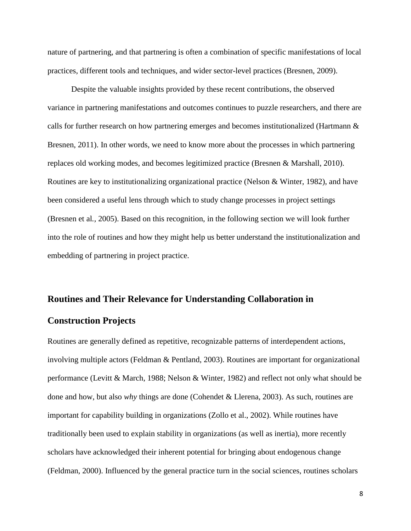nature of partnering, and that partnering is often a combination of specific manifestations of local practices, different tools and techniques, and wider sector-level practices (Bresnen, 2009).

Despite the valuable insights provided by these recent contributions, the observed variance in partnering manifestations and outcomes continues to puzzle researchers, and there are calls for further research on how partnering emerges and becomes institutionalized (Hartmann & Bresnen, 2011). In other words, we need to know more about the processes in which partnering replaces old working modes, and becomes legitimized practice (Bresnen & Marshall, 2010). Routines are key to institutionalizing organizational practice (Nelson & Winter, 1982), and have been considered a useful lens through which to study change processes in project settings (Bresnen et al*.,* 2005). Based on this recognition, in the following section we will look further into the role of routines and how they might help us better understand the institutionalization and embedding of partnering in project practice.

# **Routines and Their Relevance for Understanding Collaboration in**

# **Construction Projects**

Routines are generally defined as repetitive, recognizable patterns of interdependent actions, involving multiple actors (Feldman & Pentland, 2003). Routines are important for organizational performance (Levitt & March, 1988; Nelson & Winter, 1982) and reflect not only what should be done and how, but also *why* things are done (Cohendet & Llerena, 2003). As such, routines are important for capability building in organizations (Zollo et al., 2002). While routines have traditionally been used to explain stability in organizations (as well as inertia), more recently scholars have acknowledged their inherent potential for bringing about endogenous change (Feldman, 2000). Influenced by the general practice turn in the social sciences, routines scholars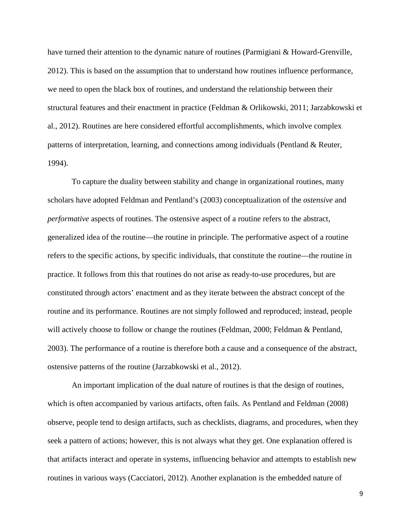have turned their attention to the dynamic nature of routines (Parmigiani & Howard-Grenville, 2012). This is based on the assumption that to understand how routines influence performance, we need to open the black box of routines, and understand the relationship between their structural features and their enactment in practice (Feldman & Orlikowski, 2011; Jarzabkowski et al., 2012). Routines are here considered effortful accomplishments, which involve complex patterns of interpretation, learning, and connections among individuals (Pentland & Reuter, 1994).

To capture the duality between stability and change in organizational routines, many scholars have adopted Feldman and Pentland's (2003) conceptualization of the *ostensive* and *performative* aspects of routines. The ostensive aspect of a routine refers to the abstract, generalized idea of the routine—the routine in principle. The performative aspect of a routine refers to the specific actions, by specific individuals, that constitute the routine—the routine in practice. It follows from this that routines do not arise as ready-to-use procedures, but are constituted through actors' enactment and as they iterate between the abstract concept of the routine and its performance. Routines are not simply followed and reproduced; instead, people will actively choose to follow or change the routines (Feldman, 2000; Feldman & Pentland, 2003). The performance of a routine is therefore both a cause and a consequence of the abstract, ostensive patterns of the routine (Jarzabkowski et al., 2012).

An important implication of the dual nature of routines is that the design of routines, which is often accompanied by various artifacts, often fails. As Pentland and Feldman (2008) observe, people tend to design artifacts, such as checklists, diagrams, and procedures, when they seek a pattern of actions; however, this is not always what they get. One explanation offered is that artifacts interact and operate in systems, influencing behavior and attempts to establish new routines in various ways (Cacciatori, 2012). Another explanation is the embedded nature of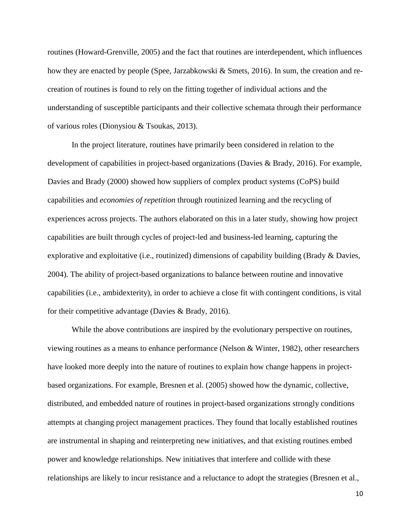routines (Howard-Grenville, 2005) and the fact that routines are interdependent, which influences how they are enacted by people (Spee, Jarzabkowski & Smets, 2016). In sum, the creation and recreation of routines is found to rely on the fitting together of individual actions and the understanding of susceptible participants and their collective schemata through their performance of various roles (Dionysiou & Tsoukas, 2013).

In the project literature, routines have primarily been considered in relation to the development of capabilities in project-based organizations (Davies & Brady, 2016). For example, Davies and Brady (2000) showed how suppliers of complex product systems (CoPS) build capabilities and *economies of repetition* through routinized learning and the recycling of experiences across projects. The authors elaborated on this in a later study, showing how project capabilities are built through cycles of project-led and business-led learning, capturing the explorative and exploitative (i.e., routinized) dimensions of capability building (Brady & Davies, 2004). The ability of project-based organizations to balance between routine and innovative capabilities (i.e., ambidexterity), in order to achieve a close fit with contingent conditions, is vital for their competitive advantage (Davies & Brady, 2016).

While the above contributions are inspired by the evolutionary perspective on routines, viewing routines as a means to enhance performance (Nelson & Winter, 1982), other researchers have looked more deeply into the nature of routines to explain how change happens in projectbased organizations. For example, Bresnen et al. (2005) showed how the dynamic, collective, distributed, and embedded nature of routines in project-based organizations strongly conditions attempts at changing project management practices. They found that locally established routines are instrumental in shaping and reinterpreting new initiatives, and that existing routines embed power and knowledge relationships. New initiatives that interfere and collide with these relationships are likely to incur resistance and a reluctance to adopt the strategies (Bresnen et al.,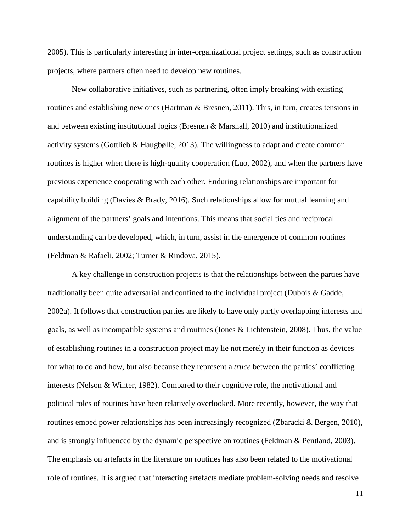2005). This is particularly interesting in inter-organizational project settings, such as construction projects, where partners often need to develop new routines.

New collaborative initiatives, such as partnering, often imply breaking with existing routines and establishing new ones (Hartman & Bresnen, 2011). This, in turn, creates tensions in and between existing institutional logics (Bresnen & Marshall, 2010) and institutionalized activity systems (Gottlieb & Haugbølle, 2013). The willingness to adapt and create common routines is higher when there is high-quality cooperation (Luo, 2002), and when the partners have previous experience cooperating with each other. Enduring relationships are important for capability building (Davies & Brady, 2016). Such relationships allow for mutual learning and alignment of the partners' goals and intentions. This means that social ties and reciprocal understanding can be developed, which, in turn, assist in the emergence of common routines (Feldman & Rafaeli, 2002; Turner & Rindova, 2015).

A key challenge in construction projects is that the relationships between the parties have traditionally been quite adversarial and confined to the individual project (Dubois & Gadde, 2002a). It follows that construction parties are likely to have only partly overlapping interests and goals, as well as incompatible systems and routines (Jones & Lichtenstein, 2008). Thus, the value of establishing routines in a construction project may lie not merely in their function as devices for what to do and how, but also because they represent a *truce* between the parties' conflicting interests (Nelson & Winter, 1982). Compared to their cognitive role, the motivational and political roles of routines have been relatively overlooked. More recently, however, the way that routines embed power relationships has been increasingly recognized (Zbaracki & Bergen, 2010), and is strongly influenced by the dynamic perspective on routines (Feldman & Pentland, 2003). The emphasis on artefacts in the literature on routines has also been related to the motivational role of routines. It is argued that interacting artefacts mediate problem-solving needs and resolve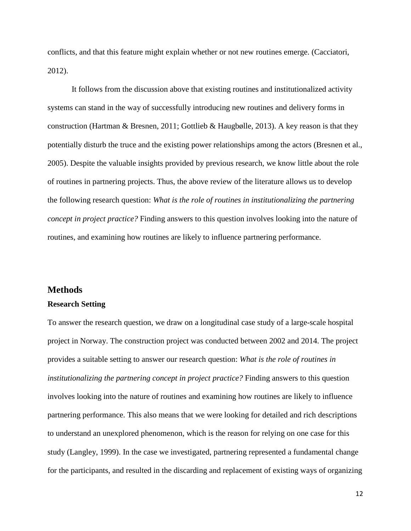conflicts, and that this feature might explain whether or not new routines emerge. (Cacciatori, 2012).

It follows from the discussion above that existing routines and institutionalized activity systems can stand in the way of successfully introducing new routines and delivery forms in construction (Hartman & Bresnen, 2011; Gottlieb & Haugbølle, 2013). A key reason is that they potentially disturb the truce and the existing power relationships among the actors (Bresnen et al., 2005). Despite the valuable insights provided by previous research, we know little about the role of routines in partnering projects. Thus, the above review of the literature allows us to develop the following research question: *What is the role of routines in institutionalizing the partnering concept in project practice?* Finding answers to this question involves looking into the nature of routines, and examining how routines are likely to influence partnering performance.

## **Methods**

## **Research Setting**

To answer the research question, we draw on a longitudinal case study of a large-scale hospital project in Norway. The construction project was conducted between 2002 and 2014. The project provides a suitable setting to answer our research question: *What is the role of routines in institutionalizing the partnering concept in project practice?* Finding answers to this question involves looking into the nature of routines and examining how routines are likely to influence partnering performance. This also means that we were looking for detailed and rich descriptions to understand an unexplored phenomenon, which is the reason for relying on one case for this study (Langley, 1999). In the case we investigated, partnering represented a fundamental change for the participants, and resulted in the discarding and replacement of existing ways of organizing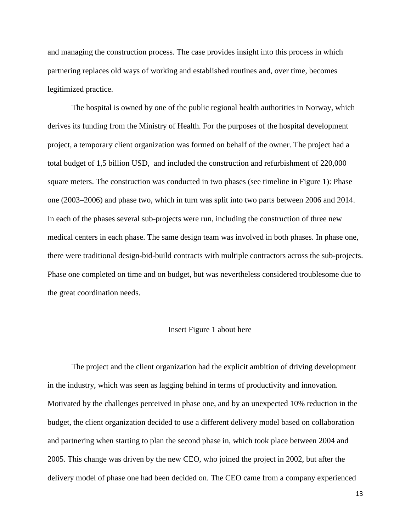and managing the construction process. The case provides insight into this process in which partnering replaces old ways of working and established routines and, over time, becomes legitimized practice.

The hospital is owned by one of the public regional health authorities in Norway, which derives its funding from the Ministry of Health. For the purposes of the hospital development project, a temporary client organization was formed on behalf of the owner. The project had a total budget of 1,5 billion USD, and included the construction and refurbishment of 220,000 square meters. The construction was conducted in two phases (see timeline in Figure 1): Phase one (2003–2006) and phase two, which in turn was split into two parts between 2006 and 2014. In each of the phases several sub-projects were run, including the construction of three new medical centers in each phase. The same design team was involved in both phases. In phase one, there were traditional design-bid-build contracts with multiple contractors across the sub-projects. Phase one completed on time and on budget, but was nevertheless considered troublesome due to the great coordination needs.

## Insert Figure 1 about here

The project and the client organization had the explicit ambition of driving development in the industry, which was seen as lagging behind in terms of productivity and innovation. Motivated by the challenges perceived in phase one, and by an unexpected 10% reduction in the budget, the client organization decided to use a different delivery model based on collaboration and partnering when starting to plan the second phase in, which took place between 2004 and 2005. This change was driven by the new CEO, who joined the project in 2002, but after the delivery model of phase one had been decided on. The CEO came from a company experienced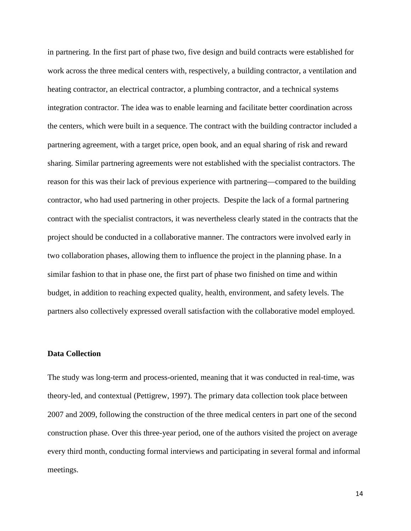in partnering. In the first part of phase two, five design and build contracts were established for work across the three medical centers with, respectively, a building contractor, a ventilation and heating contractor, an electrical contractor, a plumbing contractor, and a technical systems integration contractor. The idea was to enable learning and facilitate better coordination across the centers, which were built in a sequence. The contract with the building contractor included a partnering agreement, with a target price, open book, and an equal sharing of risk and reward sharing. Similar partnering agreements were not established with the specialist contractors. The reason for this was their lack of previous experience with partnering—compared to the building contractor, who had used partnering in other projects. Despite the lack of a formal partnering contract with the specialist contractors, it was nevertheless clearly stated in the contracts that the project should be conducted in a collaborative manner. The contractors were involved early in two collaboration phases, allowing them to influence the project in the planning phase. In a similar fashion to that in phase one, the first part of phase two finished on time and within budget, in addition to reaching expected quality, health, environment, and safety levels. The partners also collectively expressed overall satisfaction with the collaborative model employed.

## **Data Collection**

The study was long-term and process-oriented, meaning that it was conducted in real-time, was theory-led, and contextual (Pettigrew, 1997). The primary data collection took place between 2007 and 2009, following the construction of the three medical centers in part one of the second construction phase. Over this three-year period, one of the authors visited the project on average every third month, conducting formal interviews and participating in several formal and informal meetings.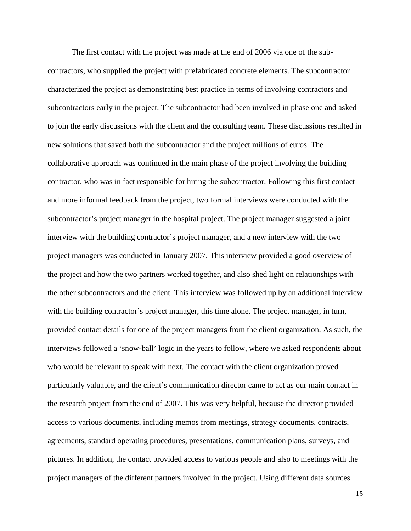The first contact with the project was made at the end of 2006 via one of the subcontractors, who supplied the project with prefabricated concrete elements. The subcontractor characterized the project as demonstrating best practice in terms of involving contractors and subcontractors early in the project. The subcontractor had been involved in phase one and asked to join the early discussions with the client and the consulting team. These discussions resulted in new solutions that saved both the subcontractor and the project millions of euros. The collaborative approach was continued in the main phase of the project involving the building contractor, who was in fact responsible for hiring the subcontractor. Following this first contact and more informal feedback from the project, two formal interviews were conducted with the subcontractor's project manager in the hospital project. The project manager suggested a joint interview with the building contractor's project manager, and a new interview with the two project managers was conducted in January 2007. This interview provided a good overview of the project and how the two partners worked together, and also shed light on relationships with the other subcontractors and the client. This interview was followed up by an additional interview with the building contractor's project manager, this time alone. The project manager, in turn, provided contact details for one of the project managers from the client organization. As such, the interviews followed a 'snow-ball' logic in the years to follow, where we asked respondents about who would be relevant to speak with next. The contact with the client organization proved particularly valuable, and the client's communication director came to act as our main contact in the research project from the end of 2007. This was very helpful, because the director provided access to various documents, including memos from meetings, strategy documents, contracts, agreements, standard operating procedures, presentations, communication plans, surveys, and pictures. In addition, the contact provided access to various people and also to meetings with the project managers of the different partners involved in the project. Using different data sources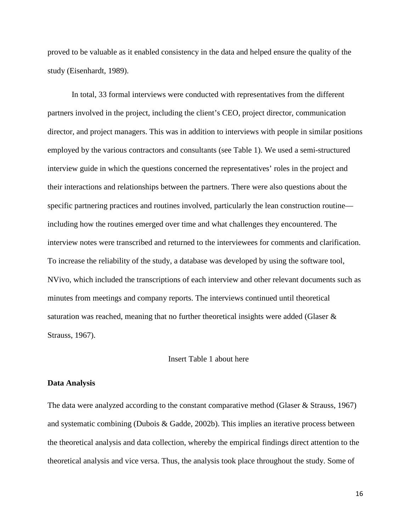proved to be valuable as it enabled consistency in the data and helped ensure the quality of the study (Eisenhardt, 1989).

In total, 33 formal interviews were conducted with representatives from the different partners involved in the project, including the client's CEO, project director, communication director, and project managers. This was in addition to interviews with people in similar positions employed by the various contractors and consultants (see Table 1). We used a semi-structured interview guide in which the questions concerned the representatives' roles in the project and their interactions and relationships between the partners. There were also questions about the specific partnering practices and routines involved, particularly the lean construction routine including how the routines emerged over time and what challenges they encountered. The interview notes were transcribed and returned to the interviewees for comments and clarification. To increase the reliability of the study, a database was developed by using the software tool, NVivo, which included the transcriptions of each interview and other relevant documents such as minutes from meetings and company reports. The interviews continued until theoretical saturation was reached, meaning that no further theoretical insights were added (Glaser & Strauss, 1967).

#### Insert Table 1 about here

#### **Data Analysis**

The data were analyzed according to the constant comparative method (Glaser & Strauss, 1967) and systematic combining (Dubois & Gadde, 2002b). This implies an iterative process between the theoretical analysis and data collection, whereby the empirical findings direct attention to the theoretical analysis and vice versa. Thus, the analysis took place throughout the study. Some of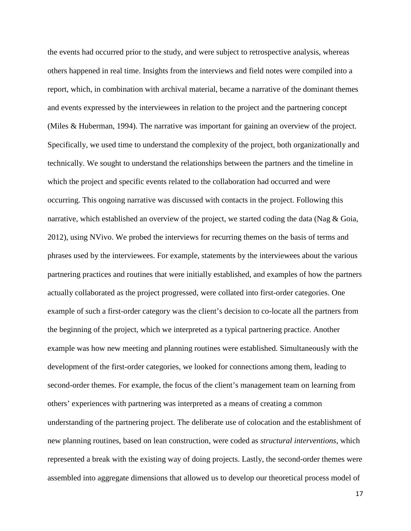the events had occurred prior to the study, and were subject to retrospective analysis, whereas others happened in real time. Insights from the interviews and field notes were compiled into a report, which, in combination with archival material, became a narrative of the dominant themes and events expressed by the interviewees in relation to the project and the partnering concept (Miles & Huberman, 1994). The narrative was important for gaining an overview of the project. Specifically, we used time to understand the complexity of the project, both organizationally and technically. We sought to understand the relationships between the partners and the timeline in which the project and specific events related to the collaboration had occurred and were occurring. This ongoing narrative was discussed with contacts in the project. Following this narrative, which established an overview of the project, we started coding the data (Nag & Goia, 2012), using NVivo. We probed the interviews for recurring themes on the basis of terms and phrases used by the interviewees. For example, statements by the interviewees about the various partnering practices and routines that were initially established, and examples of how the partners actually collaborated as the project progressed, were collated into first-order categories. One example of such a first-order category was the client's decision to co-locate all the partners from the beginning of the project, which we interpreted as a typical partnering practice. Another example was how new meeting and planning routines were established. Simultaneously with the development of the first-order categories, we looked for connections among them, leading to second-order themes. For example, the focus of the client's management team on learning from others' experiences with partnering was interpreted as a means of creating a common understanding of the partnering project. The deliberate use of colocation and the establishment of new planning routines, based on lean construction, were coded as *structural interventions*, which represented a break with the existing way of doing projects. Lastly, the second-order themes were assembled into aggregate dimensions that allowed us to develop our theoretical process model of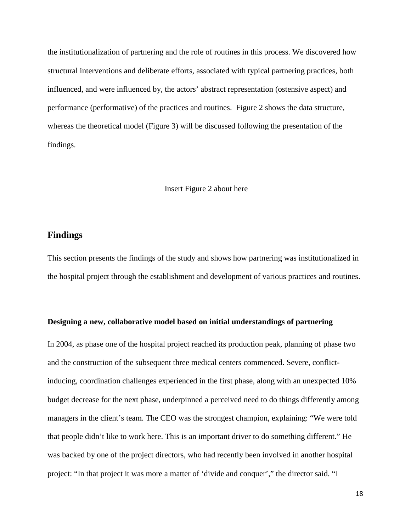the institutionalization of partnering and the role of routines in this process. We discovered how structural interventions and deliberate efforts, associated with typical partnering practices, both influenced, and were influenced by, the actors' abstract representation (ostensive aspect) and performance (performative) of the practices and routines. Figure 2 shows the data structure, whereas the theoretical model (Figure 3) will be discussed following the presentation of the findings.

#### Insert Figure 2 about here

## **Findings**

This section presents the findings of the study and shows how partnering was institutionalized in the hospital project through the establishment and development of various practices and routines.

#### **Designing a new, collaborative model based on initial understandings of partnering**

In 2004, as phase one of the hospital project reached its production peak, planning of phase two and the construction of the subsequent three medical centers commenced. Severe, conflictinducing, coordination challenges experienced in the first phase, along with an unexpected 10% budget decrease for the next phase, underpinned a perceived need to do things differently among managers in the client's team. The CEO was the strongest champion, explaining: "We were told that people didn't like to work here. This is an important driver to do something different." He was backed by one of the project directors, who had recently been involved in another hospital project: "In that project it was more a matter of 'divide and conquer'," the director said. "I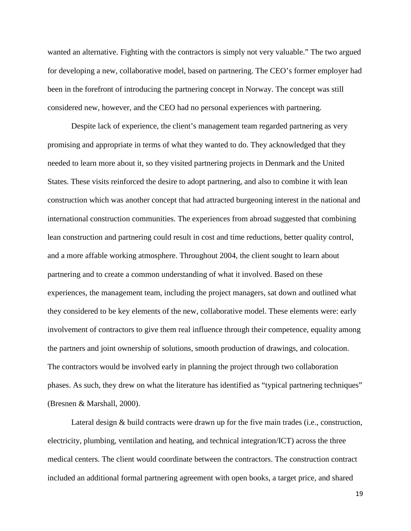wanted an alternative. Fighting with the contractors is simply not very valuable." The two argued for developing a new, collaborative model, based on partnering. The CEO's former employer had been in the forefront of introducing the partnering concept in Norway. The concept was still considered new, however, and the CEO had no personal experiences with partnering.

Despite lack of experience, the client's management team regarded partnering as very promising and appropriate in terms of what they wanted to do. They acknowledged that they needed to learn more about it, so they visited partnering projects in Denmark and the United States. These visits reinforced the desire to adopt partnering, and also to combine it with lean construction which was another concept that had attracted burgeoning interest in the national and international construction communities. The experiences from abroad suggested that combining lean construction and partnering could result in cost and time reductions, better quality control, and a more affable working atmosphere. Throughout 2004, the client sought to learn about partnering and to create a common understanding of what it involved. Based on these experiences, the management team, including the project managers, sat down and outlined what they considered to be key elements of the new, collaborative model. These elements were: early involvement of contractors to give them real influence through their competence, equality among the partners and joint ownership of solutions, smooth production of drawings, and colocation. The contractors would be involved early in planning the project through two collaboration phases. As such, they drew on what the literature has identified as "typical partnering techniques" (Bresnen & Marshall, 2000).

Lateral design & build contracts were drawn up for the five main trades (i.e., construction, electricity, plumbing, ventilation and heating, and technical integration/ICT) across the three medical centers. The client would coordinate between the contractors. The construction contract included an additional formal partnering agreement with open books, a target price, and shared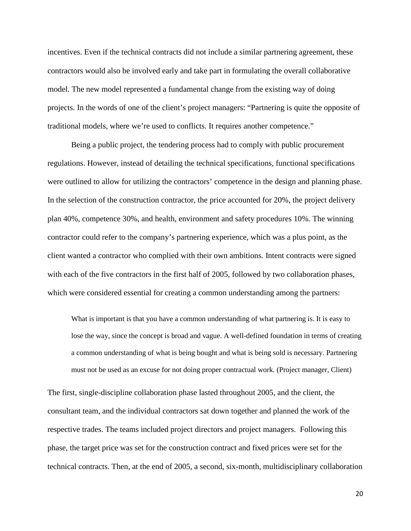incentives. Even if the technical contracts did not include a similar partnering agreement, these contractors would also be involved early and take part in formulating the overall collaborative model. The new model represented a fundamental change from the existing way of doing projects. In the words of one of the client's project managers: "Partnering is quite the opposite of traditional models, where we're used to conflicts. It requires another competence."

Being a public project, the tendering process had to comply with public procurement regulations. However, instead of detailing the technical specifications, functional specifications were outlined to allow for utilizing the contractors' competence in the design and planning phase. In the selection of the construction contractor, the price accounted for 20%, the project delivery plan 40%, competence 30%, and health, environment and safety procedures 10%. The winning contractor could refer to the company's partnering experience, which was a plus point, as the client wanted a contractor who complied with their own ambitions. Intent contracts were signed with each of the five contractors in the first half of 2005, followed by two collaboration phases, which were considered essential for creating a common understanding among the partners:

What is important is that you have a common understanding of what partnering is. It is easy to lose the way, since the concept is broad and vague. A well-defined foundation in terms of creating a common understanding of what is being bought and what is being sold is necessary. Partnering must not be used as an excuse for not doing proper contractual work. (Project manager, Client)

The first, single-discipline collaboration phase lasted throughout 2005, and the client, the consultant team, and the individual contractors sat down together and planned the work of the respective trades. The teams included project directors and project managers. Following this phase, the target price was set for the construction contract and fixed prices were set for the technical contracts. Then, at the end of 2005, a second, six-month, multidisciplinary collaboration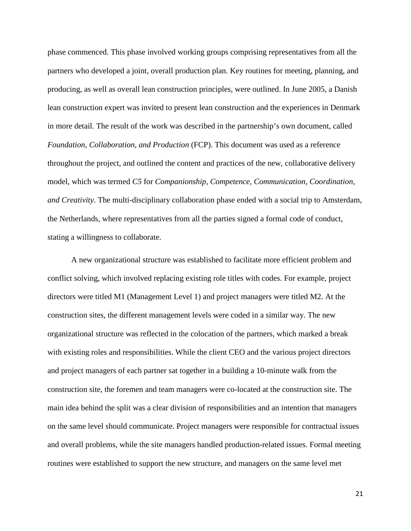phase commenced. This phase involved working groups comprising representatives from all the partners who developed a joint, overall production plan. Key routines for meeting, planning, and producing, as well as overall lean construction principles, were outlined. In June 2005, a Danish lean construction expert was invited to present lean construction and the experiences in Denmark in more detail. The result of the work was described in the partnership's own document, called *Foundation, Collaboration, and Production* (FCP). This document was used as a reference throughout the project, and outlined the content and practices of the new, collaborative delivery model, which was termed *C5* for *Companionship, Competence, Communication, Coordination, and Creativity*. The multi-disciplinary collaboration phase ended with a social trip to Amsterdam, the Netherlands, where representatives from all the parties signed a formal code of conduct, stating a willingness to collaborate.

A new organizational structure was established to facilitate more efficient problem and conflict solving, which involved replacing existing role titles with codes. For example, project directors were titled M1 (Management Level 1) and project managers were titled M2. At the construction sites, the different management levels were coded in a similar way. The new organizational structure was reflected in the colocation of the partners, which marked a break with existing roles and responsibilities. While the client CEO and the various project directors and project managers of each partner sat together in a building a 10-minute walk from the construction site, the foremen and team managers were co-located at the construction site. The main idea behind the split was a clear division of responsibilities and an intention that managers on the same level should communicate. Project managers were responsible for contractual issues and overall problems, while the site managers handled production-related issues. Formal meeting routines were established to support the new structure, and managers on the same level met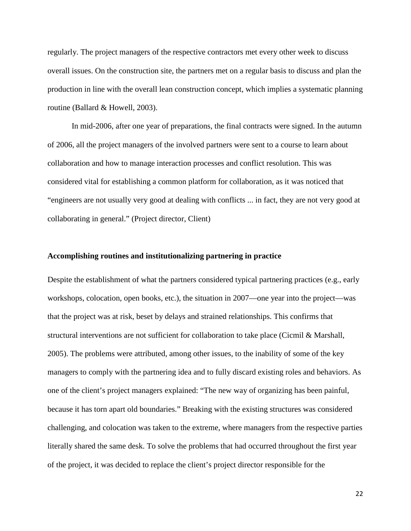regularly. The project managers of the respective contractors met every other week to discuss overall issues. On the construction site, the partners met on a regular basis to discuss and plan the production in line with the overall lean construction concept, which implies a systematic planning routine (Ballard & Howell, 2003).

In mid-2006, after one year of preparations, the final contracts were signed. In the autumn of 2006, all the project managers of the involved partners were sent to a course to learn about collaboration and how to manage interaction processes and conflict resolution. This was considered vital for establishing a common platform for collaboration, as it was noticed that "engineers are not usually very good at dealing with conflicts ... in fact, they are not very good at collaborating in general." (Project director, Client)

## **Accomplishing routines and institutionalizing partnering in practice**

Despite the establishment of what the partners considered typical partnering practices (e.g., early workshops, colocation, open books, etc.), the situation in 2007—one year into the project—was that the project was at risk, beset by delays and strained relationships. This confirms that structural interventions are not sufficient for collaboration to take place (Cicmil & Marshall, 2005). The problems were attributed, among other issues, to the inability of some of the key managers to comply with the partnering idea and to fully discard existing roles and behaviors. As one of the client's project managers explained: "The new way of organizing has been painful, because it has torn apart old boundaries." Breaking with the existing structures was considered challenging, and colocation was taken to the extreme, where managers from the respective parties literally shared the same desk. To solve the problems that had occurred throughout the first year of the project, it was decided to replace the client's project director responsible for the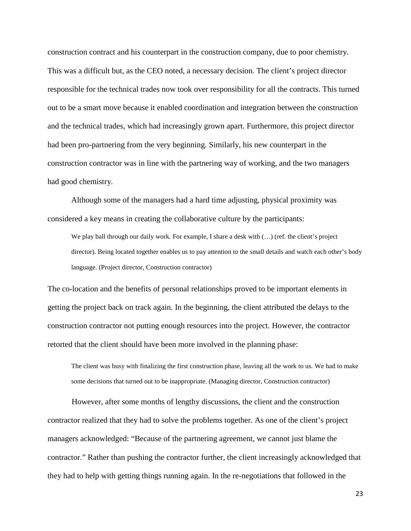construction contract and his counterpart in the construction company, due to poor chemistry. This was a difficult but, as the CEO noted, a necessary decision. The client's project director responsible for the technical trades now took over responsibility for all the contracts. This turned out to be a smart move because it enabled coordination and integration between the construction and the technical trades, which had increasingly grown apart. Furthermore, this project director had been pro-partnering from the very beginning. Similarly, his new counterpart in the construction contractor was in line with the partnering way of working, and the two managers had good chemistry.

Although some of the managers had a hard time adjusting, physical proximity was considered a key means in creating the collaborative culture by the participants:

We play ball through our daily work. For example, I share a desk with  $(...)$  (ref. the client's project director). Being located together enables us to pay attention to the small details and watch each other's body language. (Project director, Construction contractor)

The co-location and the benefits of personal relationships proved to be important elements in getting the project back on track again. In the beginning, the client attributed the delays to the construction contractor not putting enough resources into the project. However, the contractor retorted that the client should have been more involved in the planning phase:

The client was busy with finalizing the first construction phase, leaving all the work to us. We had to make some decisions that turned out to be inappropriate. (Managing director, Construction contractor)

However, after some months of lengthy discussions, the client and the construction contractor realized that they had to solve the problems together. As one of the client's project managers acknowledged: "Because of the partnering agreement, we cannot just blame the contractor." Rather than pushing the contractor further, the client increasingly acknowledged that they had to help with getting things running again. In the re-negotiations that followed in the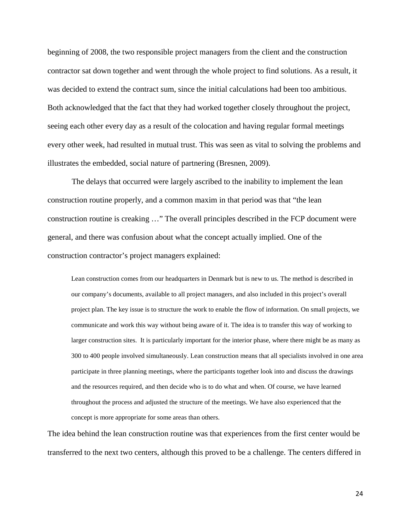beginning of 2008, the two responsible project managers from the client and the construction contractor sat down together and went through the whole project to find solutions. As a result, it was decided to extend the contract sum, since the initial calculations had been too ambitious. Both acknowledged that the fact that they had worked together closely throughout the project, seeing each other every day as a result of the colocation and having regular formal meetings every other week, had resulted in mutual trust. This was seen as vital to solving the problems and illustrates the embedded, social nature of partnering (Bresnen, 2009).

The delays that occurred were largely ascribed to the inability to implement the lean construction routine properly, and a common maxim in that period was that "the lean construction routine is creaking …" The overall principles described in the FCP document were general, and there was confusion about what the concept actually implied. One of the construction contractor's project managers explained:

Lean construction comes from our headquarters in Denmark but is new to us. The method is described in our company's documents, available to all project managers, and also included in this project's overall project plan. The key issue is to structure the work to enable the flow of information. On small projects, we communicate and work this way without being aware of it. The idea is to transfer this way of working to larger construction sites. It is particularly important for the interior phase, where there might be as many as 300 to 400 people involved simultaneously. Lean construction means that all specialists involved in one area participate in three planning meetings, where the participants together look into and discuss the drawings and the resources required, and then decide who is to do what and when. Of course, we have learned throughout the process and adjusted the structure of the meetings. We have also experienced that the concept is more appropriate for some areas than others.

The idea behind the lean construction routine was that experiences from the first center would be transferred to the next two centers, although this proved to be a challenge. The centers differed in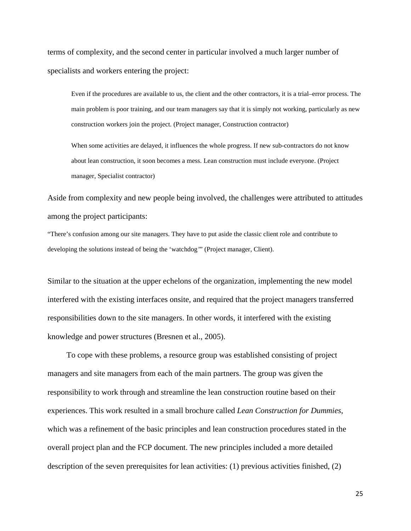terms of complexity, and the second center in particular involved a much larger number of specialists and workers entering the project:

Even if the procedures are available to us, the client and the other contractors, it is a trial–error process. The main problem is poor training, and our team managers say that it is simply not working, particularly as new construction workers join the project. (Project manager, Construction contractor)

When some activities are delayed, it influences the whole progress. If new sub-contractors do not know about lean construction, it soon becomes a mess. Lean construction must include everyone. (Project manager, Specialist contractor)

Aside from complexity and new people being involved, the challenges were attributed to attitudes among the project participants:

"There's confusion among our site managers. They have to put aside the classic client role and contribute to developing the solutions instead of being the 'watchdog*'*" (Project manager, Client).

Similar to the situation at the upper echelons of the organization, implementing the new model interfered with the existing interfaces onsite, and required that the project managers transferred responsibilities down to the site managers. In other words, it interfered with the existing knowledge and power structures (Bresnen et al., 2005).

To cope with these problems, a resource group was established consisting of project managers and site managers from each of the main partners. The group was given the responsibility to work through and streamline the lean construction routine based on their experiences. This work resulted in a small brochure called *Lean Construction for Dummies*, which was a refinement of the basic principles and lean construction procedures stated in the overall project plan and the FCP document. The new principles included a more detailed description of the seven prerequisites for lean activities: (1) previous activities finished, (2)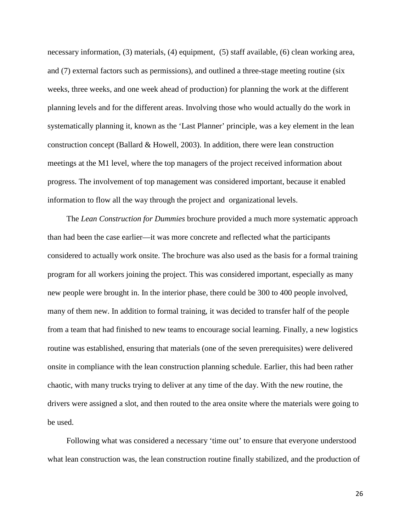necessary information, (3) materials, (4) equipment, (5) staff available, (6) clean working area, and (7) external factors such as permissions), and outlined a three-stage meeting routine (six weeks, three weeks, and one week ahead of production) for planning the work at the different planning levels and for the different areas. Involving those who would actually do the work in systematically planning it, known as the 'Last Planner' principle, was a key element in the lean construction concept (Ballard & Howell, 2003). In addition, there were lean construction meetings at the M1 level, where the top managers of the project received information about progress. The involvement of top management was considered important, because it enabled information to flow all the way through the project and organizational levels.

The *Lean Construction for Dummies* brochure provided a much more systematic approach than had been the case earlier—it was more concrete and reflected what the participants considered to actually work onsite. The brochure was also used as the basis for a formal training program for all workers joining the project. This was considered important, especially as many new people were brought in. In the interior phase, there could be 300 to 400 people involved, many of them new. In addition to formal training, it was decided to transfer half of the people from a team that had finished to new teams to encourage social learning. Finally, a new logistics routine was established, ensuring that materials (one of the seven prerequisites) were delivered onsite in compliance with the lean construction planning schedule. Earlier, this had been rather chaotic, with many trucks trying to deliver at any time of the day. With the new routine, the drivers were assigned a slot, and then routed to the area onsite where the materials were going to be used.

Following what was considered a necessary 'time out' to ensure that everyone understood what lean construction was, the lean construction routine finally stabilized, and the production of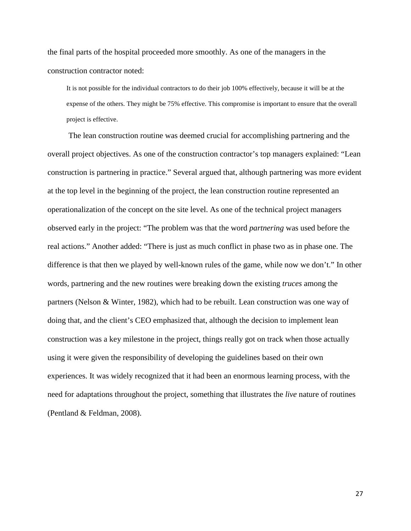the final parts of the hospital proceeded more smoothly. As one of the managers in the construction contractor noted:

It is not possible for the individual contractors to do their job 100% effectively, because it will be at the expense of the others. They might be 75% effective. This compromise is important to ensure that the overall project is effective.

The lean construction routine was deemed crucial for accomplishing partnering and the overall project objectives. As one of the construction contractor's top managers explained: "Lean construction is partnering in practice." Several argued that, although partnering was more evident at the top level in the beginning of the project, the lean construction routine represented an operationalization of the concept on the site level. As one of the technical project managers observed early in the project: "The problem was that the word *partnering* was used before the real actions." Another added: "There is just as much conflict in phase two as in phase one. The difference is that then we played by well-known rules of the game, while now we don't." In other words, partnering and the new routines were breaking down the existing *truces* among the partners (Nelson & Winter, 1982), which had to be rebuilt. Lean construction was one way of doing that, and the client's CEO emphasized that, although the decision to implement lean construction was a key milestone in the project, things really got on track when those actually using it were given the responsibility of developing the guidelines based on their own experiences. It was widely recognized that it had been an enormous learning process, with the need for adaptations throughout the project, something that illustrates the *live* nature of routines (Pentland & Feldman, 2008).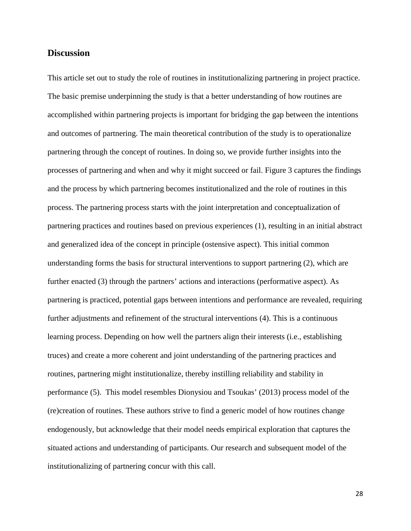# **Discussion**

This article set out to study the role of routines in institutionalizing partnering in project practice. The basic premise underpinning the study is that a better understanding of how routines are accomplished within partnering projects is important for bridging the gap between the intentions and outcomes of partnering. The main theoretical contribution of the study is to operationalize partnering through the concept of routines. In doing so, we provide further insights into the processes of partnering and when and why it might succeed or fail. Figure 3 captures the findings and the process by which partnering becomes institutionalized and the role of routines in this process. The partnering process starts with the joint interpretation and conceptualization of partnering practices and routines based on previous experiences (1), resulting in an initial abstract and generalized idea of the concept in principle (ostensive aspect). This initial common understanding forms the basis for structural interventions to support partnering (2), which are further enacted (3) through the partners' actions and interactions (performative aspect). As partnering is practiced, potential gaps between intentions and performance are revealed, requiring further adjustments and refinement of the structural interventions (4). This is a continuous learning process. Depending on how well the partners align their interests (i.e., establishing truces) and create a more coherent and joint understanding of the partnering practices and routines, partnering might institutionalize, thereby instilling reliability and stability in performance (5). This model resembles Dionysiou and Tsoukas' (2013) process model of the (re)creation of routines. These authors strive to find a generic model of how routines change endogenously, but acknowledge that their model needs empirical exploration that captures the situated actions and understanding of participants. Our research and subsequent model of the institutionalizing of partnering concur with this call.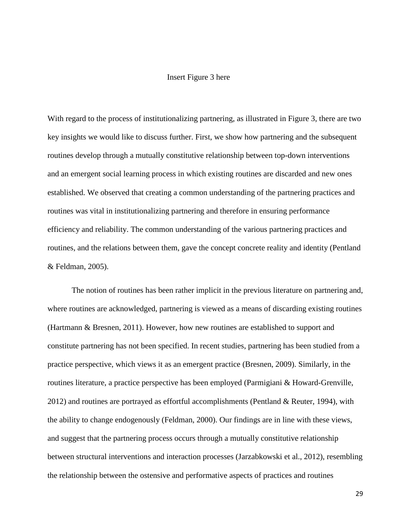#### Insert Figure 3 here

With regard to the process of institutionalizing partnering, as illustrated in Figure 3, there are two key insights we would like to discuss further. First, we show how partnering and the subsequent routines develop through a mutually constitutive relationship between top-down interventions and an emergent social learning process in which existing routines are discarded and new ones established. We observed that creating a common understanding of the partnering practices and routines was vital in institutionalizing partnering and therefore in ensuring performance efficiency and reliability. The common understanding of the various partnering practices and routines, and the relations between them, gave the concept concrete reality and identity (Pentland & Feldman, 2005).

The notion of routines has been rather implicit in the previous literature on partnering and, where routines are acknowledged, partnering is viewed as a means of discarding existing routines (Hartmann & Bresnen, 2011). However, how new routines are established to support and constitute partnering has not been specified. In recent studies, partnering has been studied from a practice perspective, which views it as an emergent practice (Bresnen, 2009). Similarly, in the routines literature, a practice perspective has been employed (Parmigiani & Howard-Grenville, 2012) and routines are portrayed as effortful accomplishments (Pentland & Reuter, 1994), with the ability to change endogenously (Feldman, 2000). Our findings are in line with these views, and suggest that the partnering process occurs through a mutually constitutive relationship between structural interventions and interaction processes (Jarzabkowski et al., 2012), resembling the relationship between the ostensive and performative aspects of practices and routines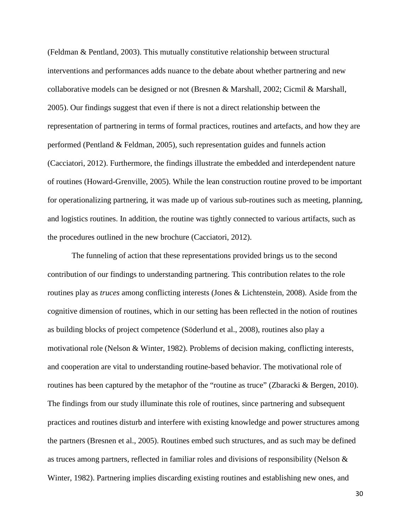(Feldman & Pentland, 2003). This mutually constitutive relationship between structural interventions and performances adds nuance to the debate about whether partnering and new collaborative models can be designed or not (Bresnen & Marshall, 2002; Cicmil & Marshall, 2005). Our findings suggest that even if there is not a direct relationship between the representation of partnering in terms of formal practices, routines and artefacts, and how they are performed (Pentland & Feldman, 2005), such representation guides and funnels action (Cacciatori, 2012). Furthermore, the findings illustrate the embedded and interdependent nature of routines (Howard-Grenville, 2005). While the lean construction routine proved to be important for operationalizing partnering, it was made up of various sub-routines such as meeting, planning, and logistics routines. In addition, the routine was tightly connected to various artifacts, such as the procedures outlined in the new brochure (Cacciatori, 2012).

The funneling of action that these representations provided brings us to the second contribution of our findings to understanding partnering. This contribution relates to the role routines play as *truces* among conflicting interests (Jones & Lichtenstein, 2008). Aside from the cognitive dimension of routines, which in our setting has been reflected in the notion of routines as building blocks of project competence (Söderlund et al., 2008), routines also play a motivational role (Nelson & Winter, 1982). Problems of decision making, conflicting interests, and cooperation are vital to understanding routine-based behavior. The motivational role of routines has been captured by the metaphor of the "routine as truce" (Zbaracki & Bergen, 2010). The findings from our study illuminate this role of routines, since partnering and subsequent practices and routines disturb and interfere with existing knowledge and power structures among the partners (Bresnen et al., 2005). Routines embed such structures, and as such may be defined as truces among partners, reflected in familiar roles and divisions of responsibility (Nelson  $\&$ Winter, 1982). Partnering implies discarding existing routines and establishing new ones, and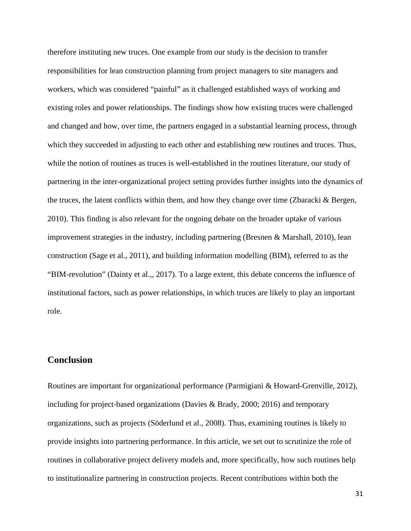therefore instituting new truces. One example from our study is the decision to transfer responsibilities for lean construction planning from project managers to site managers and workers, which was considered "painful" as it challenged established ways of working and existing roles and power relationships. The findings show how existing truces were challenged and changed and how, over time, the partners engaged in a substantial learning process, through which they succeeded in adjusting to each other and establishing new routines and truces. Thus, while the notion of routines as truces is well-established in the routines literature, our study of partnering in the inter-organizational project setting provides further insights into the dynamics of the truces, the latent conflicts within them, and how they change over time (Zbaracki & Bergen, 2010). This finding is also relevant for the ongoing debate on the broader uptake of various improvement strategies in the industry, including partnering (Bresnen & Marshall, 2010), lean construction (Sage et al., 2011), and building information modelling (BIM), referred to as the "BIM-revolution" (Dainty et al.,, 2017). To a large extent, this debate concerns the influence of institutional factors, such as power relationships, in which truces are likely to play an important role.

# **Conclusion**

Routines are important for organizational performance (Parmigiani & Howard-Grenville, 2012), including for project-based organizations (Davies & Brady, 2000; 2016) and temporary organizations, such as projects (Söderlund et al., 2008). Thus, examining routines is likely to provide insights into partnering performance. In this article, we set out to scrutinize the role of routines in collaborative project delivery models and, more specifically, how such routines help to institutionalize partnering in construction projects. Recent contributions within both the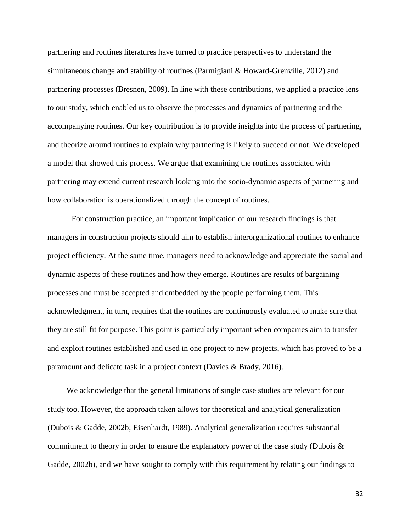partnering and routines literatures have turned to practice perspectives to understand the simultaneous change and stability of routines (Parmigiani & Howard-Grenville, 2012) and partnering processes (Bresnen, 2009). In line with these contributions, we applied a practice lens to our study, which enabled us to observe the processes and dynamics of partnering and the accompanying routines. Our key contribution is to provide insights into the process of partnering, and theorize around routines to explain why partnering is likely to succeed or not. We developed a model that showed this process. We argue that examining the routines associated with partnering may extend current research looking into the socio-dynamic aspects of partnering and how collaboration is operationalized through the concept of routines.

For construction practice, an important implication of our research findings is that managers in construction projects should aim to establish interorganizational routines to enhance project efficiency. At the same time, managers need to acknowledge and appreciate the social and dynamic aspects of these routines and how they emerge. Routines are results of bargaining processes and must be accepted and embedded by the people performing them. This acknowledgment, in turn, requires that the routines are continuously evaluated to make sure that they are still fit for purpose. This point is particularly important when companies aim to transfer and exploit routines established and used in one project to new projects, which has proved to be a paramount and delicate task in a project context (Davies & Brady, 2016).

We acknowledge that the general limitations of single case studies are relevant for our study too. However, the approach taken allows for theoretical and analytical generalization (Dubois & Gadde, 2002b; Eisenhardt, 1989). Analytical generalization requires substantial commitment to theory in order to ensure the explanatory power of the case study (Dubois  $\&$ Gadde, 2002b), and we have sought to comply with this requirement by relating our findings to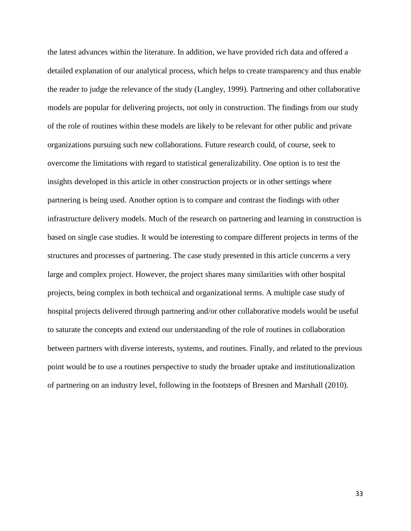the latest advances within the literature. In addition, we have provided rich data and offered a detailed explanation of our analytical process, which helps to create transparency and thus enable the reader to judge the relevance of the study (Langley, 1999). Partnering and other collaborative models are popular for delivering projects, not only in construction. The findings from our study of the role of routines within these models are likely to be relevant for other public and private organizations pursuing such new collaborations. Future research could, of course, seek to overcome the limitations with regard to statistical generalizability. One option is to test the insights developed in this article in other construction projects or in other settings where partnering is being used. Another option is to compare and contrast the findings with other infrastructure delivery models. Much of the research on partnering and learning in construction is based on single case studies. It would be interesting to compare different projects in terms of the structures and processes of partnering. The case study presented in this article concerns a very large and complex project. However, the project shares many similarities with other hospital projects, being complex in both technical and organizational terms. A multiple case study of hospital projects delivered through partnering and/or other collaborative models would be useful to saturate the concepts and extend our understanding of the role of routines in collaboration between partners with diverse interests, systems, and routines. Finally, and related to the previous point would be to use a routines perspective to study the broader uptake and institutionalization of partnering on an industry level, following in the footsteps of Bresnen and Marshall (2010).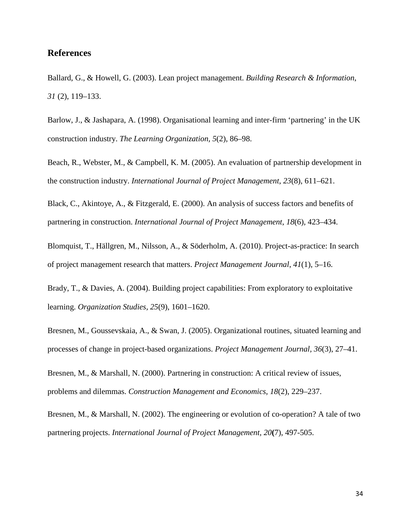# **References**

Ballard, G., & Howell, G. (2003). Lean project management. *Building Research & Information*, *31* (2), 119–133.

Barlow, J., & Jashapara, A. (1998). Organisational learning and inter-firm 'partnering' in the UK construction industry. *The Learning Organization, 5*(2), 86–98.

Beach, R., Webster, M., & Campbell, K. M. (2005). An evaluation of partnership development in the construction industry. *International Journal of Project Management*, *23*(8), 611–621.

Black, C., Akintoye, A., & Fitzgerald, E. (2000). An analysis of success factors and benefits of partnering in construction. *International Journal of Project Management*, *18*(6), 423–434.

Blomquist, T., Hällgren, M., Nilsson, A., & Söderholm, A. (2010). Project-as-practice: In search of project management research that matters. *Project Management Journal*, *41*(1), 5–16.

Brady, T., & Davies, A. (2004). Building project capabilities: From exploratory to exploitative learning. *Organization Studies, 25*(9), 1601–1620.

Bresnen, M., Goussevskaia, A., & Swan, J. (2005). Organizational routines, situated learning and processes of change in project-based organizations. *Project Management Journal, 36*(3), 27–41.

Bresnen, M., & Marshall, N. (2000). Partnering in construction: A critical review of issues, problems and dilemmas. *Construction Management and Economics*, *18*(2), 229–237.

Bresnen, M., & Marshall, N. (2002). The engineering or evolution of co-operation? A tale of two partnering projects. *International Journal of Project Management, 20***(**7), 497-505.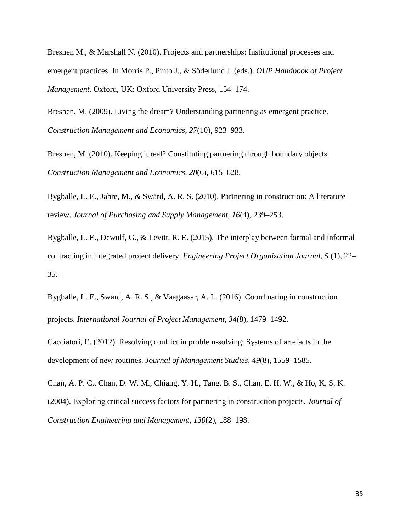Bresnen M., & Marshall N. (2010). Projects and partnerships: Institutional processes and emergent practices. In Morris P., Pinto J., & Söderlund J. (eds.). *OUP Handbook of Project Management.* Oxford, UK: Oxford University Press, 154–174.

Bresnen, M. (2009). Living the dream? Understanding partnering as emergent practice. *Construction Management and Economics*, *27*(10), 923–933.

Bresnen, M. (2010). Keeping it real? Constituting partnering through boundary objects. *Construction Management and Economics, 28*(6), 615–628.

Bygballe, L. E., Jahre, M., & Swärd, A. R. S. (2010). Partnering in construction: A literature review. *Journal of Purchasing and Supply Management*, *16*(4), 239–253.

Bygballe, L. E., Dewulf, G., & Levitt, R. E. (2015). The interplay between formal and informal contracting in integrated project delivery. *Engineering Project Organization Journal*, *5* (1), 22– 35.

Bygballe, L. E., Swärd, A. R. S., & Vaagaasar, A. L. (2016). Coordinating in construction projects. *International Journal of Project Management*, *34*(8), 1479–1492.

Cacciatori, E. (2012). Resolving conflict in problem-solving: Systems of artefacts in the development of new routines. *Journal of Management Studies*, *49*(8), 1559–1585.

Chan, A. P. C., Chan, D. W. M., Chiang, Y. H., Tang, B. S., Chan, E. H. W., & Ho, K. S. K. (2004). Exploring critical success factors for partnering in construction projects. *Journal of Construction Engineering and Management, 130*(2), 188–198.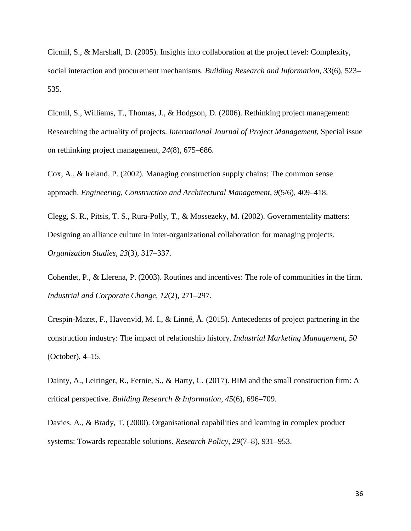Cicmil, S., & Marshall, D. (2005). Insights into collaboration at the project level: Complexity, social interaction and procurement mechanisms. *Building Research and Information*, *33*(6), 523– 535.

Cicmil, S., Williams, T., Thomas, J., & Hodgson, D. (2006). [Rethinking project management:](http://eprints.uwe.ac.uk/16774/)  [Researching the actuality of projects.](http://eprints.uwe.ac.uk/16774/) *International Journal of Project Management*, Special issue on rethinking project management, *24*(8), 675–686.

Cox, A., & Ireland, P. (2002). Managing construction supply chains: The common sense approach. *Engineering, Construction and Architectural Management*, *9*(5/6), 409–418.

Clegg, S. R., Pitsis, T. S., Rura-Polly, T., & Mossezeky, M. (2002). Governmentality matters: Designing an alliance culture in inter-organizational collaboration for managing projects. *Organization Studies, 23*(3), 317–337.

Cohendet, P., & Llerena, P. (2003). Routines and incentives: The role of communities in the firm. *Industrial and Corporate Change*, *12*(2), 271–297.

Crespin-Mazet, F., Havenvid, M. I., & Linné, Å. (2015). Antecedents of project partnering in the construction industry: The impact of relationship history. *Industrial Marketing Management*, *50*  (October), 4–15.

Dainty, A., Leiringer, R., Fernie, S., & Harty, C. (2017). BIM and the small construction firm: A critical perspective. *Building Research & Information, 45*(6), 696–709.

Davies. A., & Brady, T. (2000). Organisational capabilities and learning in complex product systems: Towards repeatable solutions. *Research Policy*, *29*(7–8), 931–953.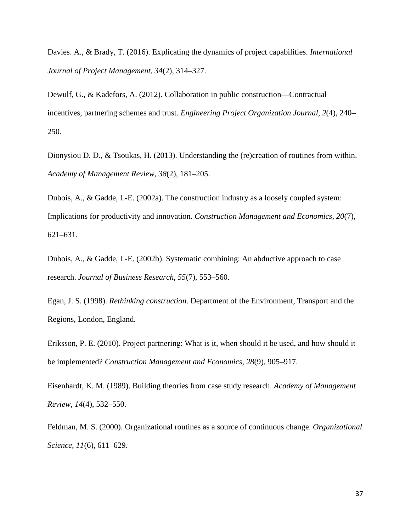Davies. A., & Brady, T. (2016). Explicating the dynamics of project capabilities. *International Journal of Project Management*, *34*(2), 314–327.

Dewulf, G., & Kadefors, A. (2012). Collaboration in public construction—Contractual incentives, partnering schemes and trust. *Engineering Project Organization Journal, 2*(4), 240– 250.

Dionysiou D. D., & Tsoukas, H. (2013). Understanding the (re)creation of routines from within. *Academy of Management Review, 38*(2), 181–205.

Dubois, A., & Gadde, L-E. (2002a). The construction industry as a loosely coupled system: Implications for productivity and innovation. *Construction Management and Economics*, *20*(7), 621–631.

Dubois, A., & Gadde, L-E. (2002b). Systematic combining: An abductive approach to case research. *Journal of Business Research*, *55*(7), 553–560.

Egan, J. S. (1998). *Rethinking construction*. Department of the Environment, Transport and the Regions, London, England.

Eriksson, P. E. (2010). Project partnering: What is it, when should it be used, and how should it be implemented? *Construction Management and Economics*, *28*(9), 905–917.

Eisenhardt, K. M. (1989). Building theories from case study research. *Academy of Management Review, 14*(4), 532–550.

Feldman, M. S. (2000). Organizational routines as a source of continuous change. *Organizational Science, 11*(6), 611–629.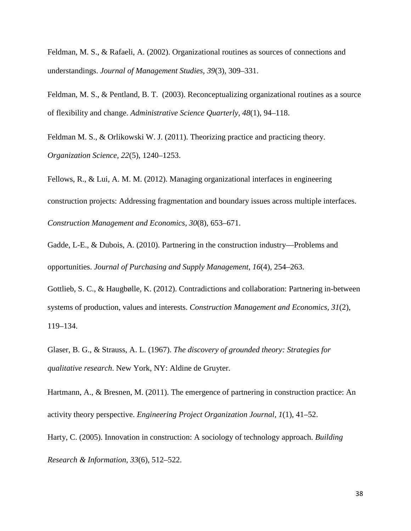Feldman, M. S., & Rafaeli, A. (2002). Organizational routines as sources of connections and understandings. *Journal of Management Studies, 39*(3), 309–331.

Feldman, M. S., & Pentland, B. T. (2003). Reconceptualizing organizational routines as a source of flexibility and change. *Administrative Science Quarterly, 48*(1), 94–118.

[Feldman M. S.](http://pubsonline.informs.org.ezproxy.library.bi.no/action/doSearch?text1=&field1=Contrib), & [Orlikowski W. J.](http://pubsonline.informs.org.ezproxy.library.bi.no/action/doSearch?text1=&field1=Contrib) (2011). Theorizing practice and practicing theory. *Organization Science, 22*(5), 1240–1253.

Fellows, R., & Lui, A. M. M. (2012). Managing organizational interfaces in engineering construction projects: Addressing fragmentation and boundary issues across multiple interfaces. *Construction Management and Economics, 30*(8), 653–671.

Gadde, L-E., & Dubois, A. (2010). Partnering in the construction industry—Problems and opportunities. *Journal of Purchasing and Supply Management*, *16*(4), 254–263.

Gottlieb, S. C., & Haugbølle, K. (2012). Contradictions and collaboration: Partnering in-between systems of production, values and interests. *Construction Management and Economics, 31*(2), 119–134.

Glaser, B. G., & Strauss, A. L. (1967). *The discovery of grounded theory: Strategies for qualitative research*. New York, NY: Aldine de Gruyter.

Hartmann, A., & Bresnen, M. (2011). The emergence of partnering in construction practice: An activity theory perspective. *Engineering Project Organization Journal, 1*(1), 41–52.

Harty, C. (2005). Innovation in construction: A sociology of technology approach. *Building Research & Information*, *33*(6), 512–522.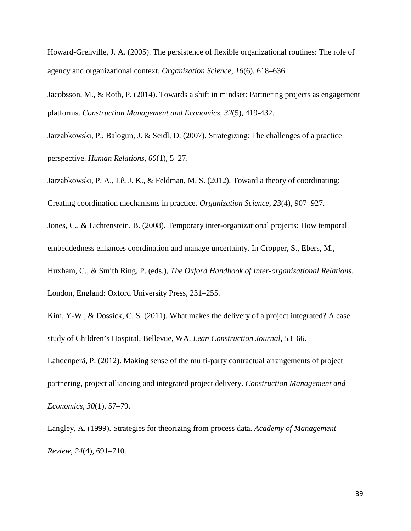Howard-Grenville, J. A. (2005). The persistence of flexible organizational routines: The role of agency and organizational context. *Organization Science*, *16*(6), 618–636.

Jacobsson, M., & Roth, P. (2014). Towards a shift in mindset: Partnering projects as engagement platforms. *Construction Management and Economics, 32*(5), 419-432.

Jarzabkowski, P., Balogun, J. & Seidl, D. (2007). Strategizing: The challenges of a practice perspective. *Human Relations, 60*(1), 5–27.

Jarzabkowski, P. A., Lê, J. K., & Feldman, M. S. (2012). Toward a theory of coordinating:

Creating coordination mechanisms in practice. *Organization Science*, *23*(4), 907–927.

Jones, C., & Lichtenstein, B. (2008). Temporary inter-organizational projects: How temporal embeddedness enhances coordination and manage uncertainty. In Cropper, S., Ebers, M., Huxham, C., & Smith Ring, P. (eds.), *The Oxford Handbook of Inter-organizational Relations*.

London, England: Oxford University Press, 231–255.

Kim, Y-W., & Dossick, C. S. (2011). What makes the delivery of a project integrated? A case study of Children's Hospital, Bellevue, WA. *Lean Construction Journal*, 53–66.

Lahdenperä, P. (2012). Making sense of the multi-party contractual arrangements of project partnering, project alliancing and integrated project delivery. *Construction Management and Economics, 30*(1), 57–79.

Langley, A. (1999). Strategies for theorizing from process data. *Academy of Management Review*, *24*(4), 691–710.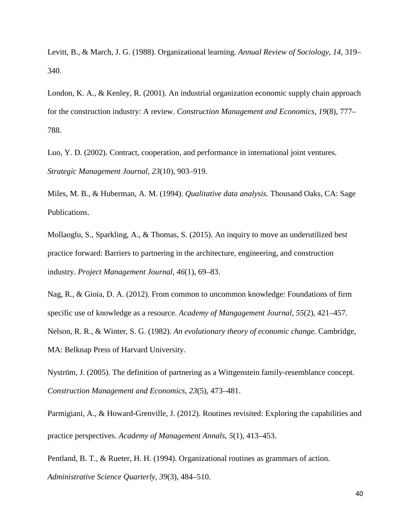Levitt, B., & March, J. G. (1988). Organizational learning. *Annual Review of Sociology, 14*, 319– 340.

London, K. A., & Kenley, R. (2001). An industrial organization economic supply chain approach for the construction industry: A review. *Construction Management and Economics*, *19*(8), 777– 788.

Luo, Y. D. (2002). Contract, cooperation, and performance in international joint ventures. *Strategic Management Journal*, *23*(10), 903–919.

Miles, M. B., & Huberman, A. M. (1994). *Qualitative data analysis.* Thousand Oaks, CA: Sage Publications.

Mollaoglu, S., Sparkling, A., & Thomas, S. (2015). An inquiry to move an underutilized best practice forward: Barriers to partnering in the architecture, engineering, and construction industry. *Project Management Journal, 46*(1), 69–83.

Nag, R., & Gioia, D. A. (2012). From common to uncommon knowledge: Foundations of firm specific use of knowledge as a resource. *Academy of Mangagement Journal*, *55*(2), 421–457. Nelson, R. R., & Winter, S. G. (1982). *An evolutionary theory of economic change.* Cambridge, MA: Belknap Press of Harvard University.

Nyström, J. (2005). The definition of partnering as a Wittgenstein family-resemblance concept. *Construction Management and Economics*, *23*(5), 473–481.

Parmigiani, A., & Howard-Grenville, J. (2012). Routines revisited: Exploring the capabilities and practice perspectives. *Academy of Management Annals*, *5*(1), 413–453.

[Pentland, B.](http://pubsonline.informs.org.ezproxy.library.bi.no/action/doSearch?text1=&field1=Contrib) T., & [Rueter, H.](http://pubsonline.informs.org.ezproxy.library.bi.no/action/doSearch?text1=&field1=Contrib) H. (1994). Organizational routines as grammars of action. *Administrative Science Quarterly, 39*(3), 484–510.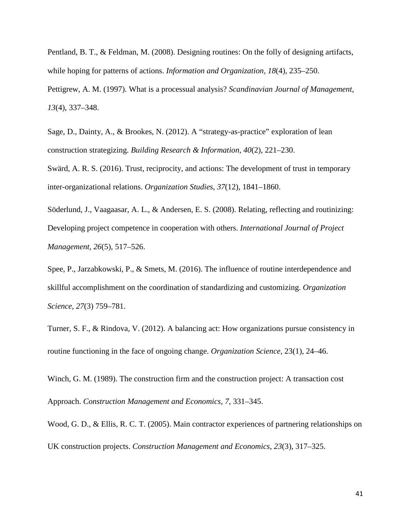Pentland, B. T., & Feldman, M. (2008). Designing routines: On the folly of designing artifacts, while hoping for patterns of actions. *Information and Organization, 18*(4), 235–250. Pettigrew, A. M. (1997). What is a processual analysis? *Scandinavian Journal of Management*, *13*(4), 337–348.

Sage, D., Dainty, A., & Brookes, N. (2012). A "strategy-as-practice" exploration of lean construction strategizing. *Building Research & Information, 40*(2), 221–230.

Swärd, A. R. S. (2016). Trust, reciprocity, and actions: The development of trust in temporary inter-organizational relations. *Organization Studies*, *37*(12), 1841–1860.

Söderlund, J., Vaagaasar, A. L., & Andersen, E. S. (2008). Relating, reflecting and routinizing: Developing project competence in cooperation with others. *International Journal of Project Management, 26*(5), 517–526.

Spee, P., Jarzabkowski, P., & Smets, M. (2016). The influence of routine interdependence and skillful accomplishment on the coordination of standardizing and customizing. *Organization Science, 27*(3) 759–781.

Turner, S. F., & Rindova, V. (2012). A balancing act: How organizations pursue consistency in routine functioning in the face of ongoing change. *Organization Science,* 23(1), 24–46.

Winch, G. M. (1989). The construction firm and the construction project: A transaction cost Approach. *Construction Management and Economics*, *7*, 331–345.

Wood, G. D., & Ellis, R. C. T. (2005). Main contractor experiences of partnering relationships on UK construction projects. *Construction Management and Economics*, *23*(3), 317–325.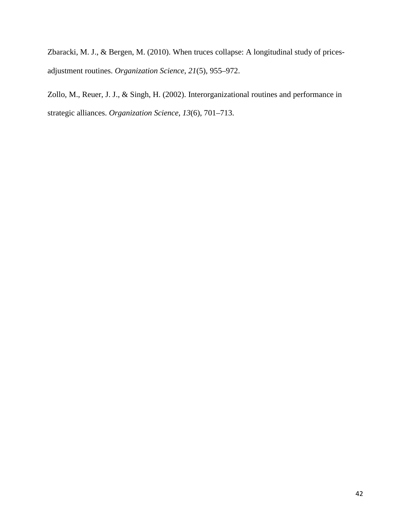Zbaracki, M. J., & Bergen, M. (2010). When truces collapse: A longitudinal study of pricesadjustment routines. *Organization Science*, *21*(5), 955–972.

Zollo, M., Reuer, J. J., & Singh, H. (2002). Interorganizational routines and performance in strategic alliances. *Organization Science*, *13*(6), 701–713.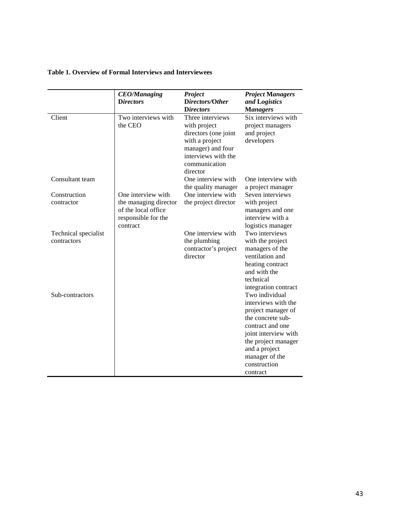|                                     | <b>CEO/Managing</b><br><b>Directors</b>                                                               | Project<br>Directors/Other<br><b>Directors</b>                                                                                                      | <b>Project Managers</b><br>and Logistics<br><b>Managers</b>                                                                                                                                                                                |
|-------------------------------------|-------------------------------------------------------------------------------------------------------|-----------------------------------------------------------------------------------------------------------------------------------------------------|--------------------------------------------------------------------------------------------------------------------------------------------------------------------------------------------------------------------------------------------|
| Client                              | Two interviews with<br>the CEO                                                                        | Three interviews<br>with project<br>directors (one joint<br>with a project<br>manager) and four<br>interviews with the<br>communication<br>director | Six interviews with<br>project managers<br>and project<br>developers                                                                                                                                                                       |
| Consultant team                     |                                                                                                       | One interview with<br>the quality manager                                                                                                           | One interview with<br>a project manager                                                                                                                                                                                                    |
| Construction<br>contractor          | One interview with<br>the managing director<br>of the local office<br>responsible for the<br>contract | One interview with<br>the project director                                                                                                          | Seven interviews<br>with project<br>managers and one<br>interview with a<br>logistics manager                                                                                                                                              |
| Technical specialist<br>contractors |                                                                                                       | One interview with<br>the plumbing<br>contractor's project<br>director                                                                              | Two interviews<br>with the project<br>managers of the<br>ventilation and<br>heating contract<br>and with the<br>technical                                                                                                                  |
| Sub-contractors                     |                                                                                                       |                                                                                                                                                     | integration contract<br>Two individual<br>interviews with the<br>project manager of<br>the concrete sub-<br>contract and one<br>joint interview with<br>the project manager<br>and a project<br>manager of the<br>construction<br>contract |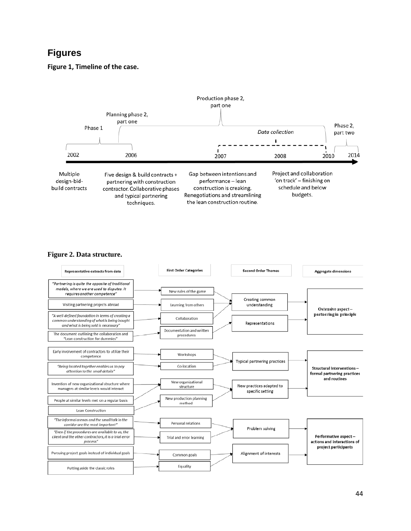# **Figures**

## **Figure 1, Timeline of the case.**



### **Figure 2. Data structure.**